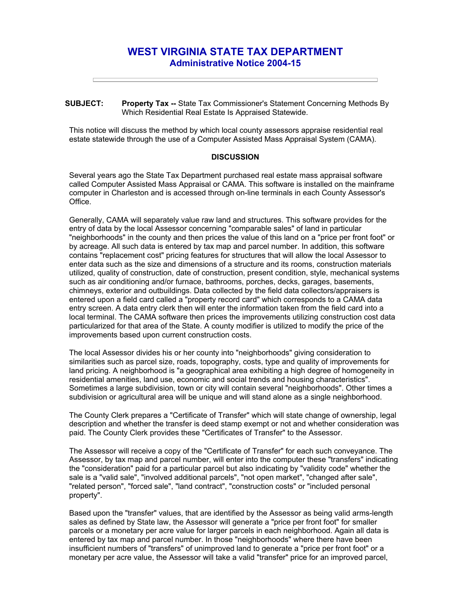## **WEST VIRGINIA STATE TAX DEPARTMENT Administrative Notice 2004-15**

**SUBJECT: Property Tax --** State Tax Commissioner's Statement Concerning Methods By Which Residential Real Estate Is Appraised Statewide.

This notice will discuss the method by which local county assessors appraise residential real estate statewide through the use of a Computer Assisted Mass Appraisal System (CAMA).

## **DISCUSSION**

Several years ago the State Tax Department purchased real estate mass appraisal software called Computer Assisted Mass Appraisal or CAMA. This software is installed on the mainframe computer in Charleston and is accessed through on-line terminals in each County Assessor's Office.

Generally, CAMA will separately value raw land and structures. This software provides for the entry of data by the local Assessor concerning "comparable sales" of land in particular "neighborhoods" in the county and then prices the value of this land on a "price per front foot" or by acreage. All such data is entered by tax map and parcel number. In addition, this software contains "replacement cost" pricing features for structures that will allow the local Assessor to enter data such as the size and dimensions of a structure and its rooms, construction materials utilized, quality of construction, date of construction, present condition, style, mechanical systems such as air conditioning and/or furnace, bathrooms, porches, decks, garages, basements, chimneys, exterior and outbuildings. Data collected by the field data collectors/appraisers is entered upon a field card called a "property record card" which corresponds to a CAMA data entry screen. A data entry clerk then will enter the information taken from the field card into a local terminal. The CAMA software then prices the improvements utilizing construction cost data particularized for that area of the State. A county modifier is utilized to modify the price of the improvements based upon current construction costs.

The local Assessor divides his or her county into "neighborhoods" giving consideration to similarities such as parcel size, roads, topography, costs, type and quality of improvements for land pricing. A neighborhood is "a geographical area exhibiting a high degree of homogeneity in residential amenities, land use, economic and social trends and housing characteristics". Sometimes a large subdivision, town or city will contain several "neighborhoods". Other times a subdivision or agricultural area will be unique and will stand alone as a single neighborhood.

The County Clerk prepares a "Certificate of Transfer" which will state change of ownership, legal description and whether the transfer is deed stamp exempt or not and whether consideration was paid. The County Clerk provides these "Certificates of Transfer" to the Assessor.

The Assessor will receive a copy of the "Certificate of Transfer" for each such conveyance. The Assessor, by tax map and parcel number, will enter into the computer these "transfers" indicating the "consideration" paid for a particular parcel but also indicating by "validity code" whether the sale is a "valid sale", "involved additional parcels", "not open market", "changed after sale", "related person", "forced sale", "land contract", "construction costs" or "included personal property".

Based upon the "transfer" values, that are identified by the Assessor as being valid arms-length sales as defined by State law, the Assessor will generate a "price per front foot" for smaller parcels or a monetary per acre value for larger parcels in each neighborhood. Again all data is entered by tax map and parcel number. In those "neighborhoods" where there have been insufficient numbers of "transfers" of unimproved land to generate a "price per front foot" or a monetary per acre value, the Assessor will take a valid "transfer" price for an improved parcel,